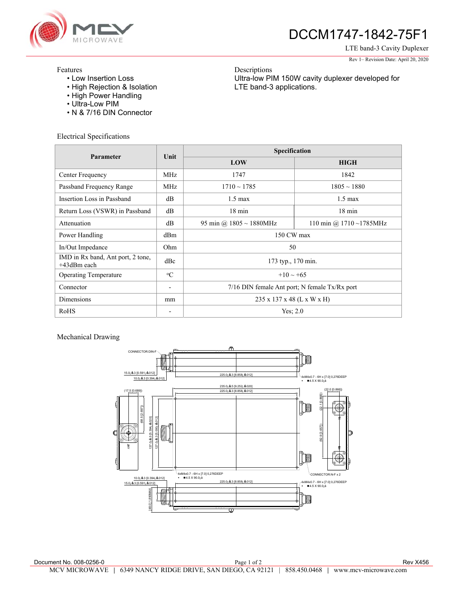

## DCCM1747-1842-75F1

Ultra-low PIM 150W cavity duplexer developed for

LTE band-3 Cavity Duplexer Rev 1– Revision Date: April 20, 2020

## Features

- Low Insertion Loss
- High Rejection & Isolation
- High Power Handling
- Ultra-Low PIM
- N & 7/16 DIN Connector

Electrical Specifications

| Parameter                                           | Unit                     | Specification                                 |                               |
|-----------------------------------------------------|--------------------------|-----------------------------------------------|-------------------------------|
|                                                     |                          | LOW                                           | <b>HIGH</b>                   |
| Center Frequency                                    | <b>MHz</b>               | 1747                                          | 1842                          |
| Passband Frequency Range                            | <b>MHz</b>               | $1710 \sim 1785$                              | $1805 \sim 1880$              |
| Insertion Loss in Passband                          | dВ                       | $1.5 \text{ max}$                             | $1.5 \text{ max}$             |
| Return Loss (VSWR) in Passband                      | dB                       | $18 \text{ min}$                              | $18 \text{ min}$              |
| Attenuation                                         | dB                       | 95 min @ $1805 \sim 1880$ MHz                 | 110 min @ 1710 $\sim$ 1785MHz |
| Power Handling                                      | dBm                      | 150 CW max                                    |                               |
| In/Out Impedance                                    | Ohm                      | 50                                            |                               |
| IMD in Rx band, Ant port, 2 tone,<br>$+43$ dBm each | dBc                      | 173 typ., 170 min.                            |                               |
| <b>Operating Temperature</b>                        | $\rm ^{o}C$              | $+10 \sim +65$                                |                               |
| Connector                                           | $\overline{\phantom{a}}$ | 7/16 DIN female Ant port; N female Tx/Rx port |                               |
| Dimensions                                          | mm                       | 235 x 137 x 48 (L x W x H)                    |                               |
| RoHS                                                |                          | Yes; $2.0$                                    |                               |

Descriptions

LTE band-3 applications.

## Mechanical Drawing